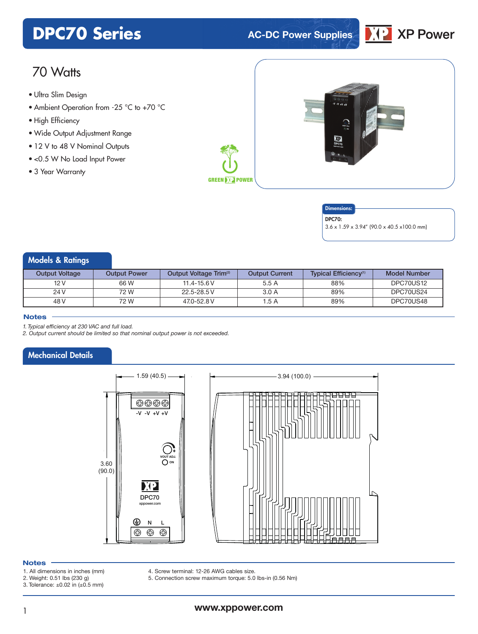# **DPC70 Series AC-DC** Power Supplies



# 70 Watts

- **xxx Series** Ultra Slim Design
- Ambient Operation from -25 °C to +70 °C
- High Efficiency
- Wide Output Adjustment Range
- 12 V to 48 V Nominal Outputs
- <0.5 W No Load Input Power
- 3 Year Warranty



#### **Dimensions**

DPC70:

3.6 x 1.59 x 3.94" (90.0 x 40.5 x100.0 mm)

# Models & Ratings

| <b>Output Voltage</b> | <b>Output Power</b> | Output Voltage Trim <sup>(2)</sup> | <b>Output Current</b> | Typical Efficiency <sup>(1)</sup> | Model Number |
|-----------------------|---------------------|------------------------------------|-----------------------|-----------------------------------|--------------|
| 12 V                  | 66 W                | $11.4 - 15.6 V$                    | 5.5 A                 | 88%                               | DPC70US12    |
| 24 V                  | 72 W                | 22.5-28.5 V                        | 3.0A                  | 89%                               | DPC70US24    |
| 48 V                  | 72 W                | 47.0-52.8 V                        | 1.5 A                 | 89%                               | DPC70US48    |

#### **Notes**

*1. Typical efficiency at 230 VAC and full load.*

*2. Output current should be limited so that nominal output power is not exceeded.*

## Mechanical Details



#### **Notes**

- 1. All dimensions in inches (mm)
- 2. Weight: 0.51 lbs (230 g)
- 3. Tolerance: ±0.02 in (±0.5 mm)
- 4. Screw terminal: 12-26 AWG cables size.

5. Connection screw maximum torque: 5.0 lbs-in (0.56 Nm)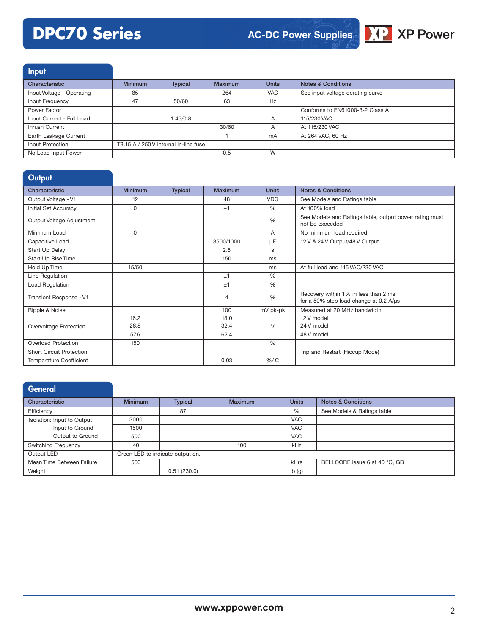# **DPC70 Series**



Input

| Characteristic            | <b>Minimum</b> | <b>Typical</b>                        | <b>Maximum</b> | <b>Units</b> | Notes & Conditions               |
|---------------------------|----------------|---------------------------------------|----------------|--------------|----------------------------------|
| Input Voltage - Operating | 85             |                                       | 264            | <b>VAC</b>   | See input voltage derating curve |
| Input Frequency           | 47             | 50/60                                 | 63             | Hz           |                                  |
| Power Factor              |                |                                       |                |              | Conforms to EN61000-3-2 Class A  |
| Input Current - Full Load |                | 1.45/0.8                              |                | A            | 115/230 VAC                      |
| Inrush Current            |                |                                       | 30/60          | A            | At 115/230 VAC                   |
| Earth Leakage Current     |                |                                       |                | mA           | At 264 VAC, 60 Hz                |
| Input Protection          |                | T3.15 A / 250 V internal in-line fuse |                |              |                                  |
| No Load Input Power       |                |                                       | 0.5            | W            |                                  |

| <b>Minimum</b> | <b>Typical</b> | Maximum        | <b>Units</b>  | <b>Notes &amp; Conditions</b>                                                  |
|----------------|----------------|----------------|---------------|--------------------------------------------------------------------------------|
| 12             |                | 48             | <b>VDC</b>    | See Models and Ratings table                                                   |
| 0              |                | $+1$           | $\frac{0}{0}$ | At 100% load                                                                   |
|                |                |                | %             | See Models and Ratings table, output power rating must<br>not be exceeded      |
| $\Omega$       |                |                | A             | No minimum load required                                                       |
|                |                | 3500/1000      | μF            | 12 V & 24 V Output/48 V Output                                                 |
|                |                | 2.5            | s             |                                                                                |
|                |                | 150            | ms            |                                                                                |
| 15/50          |                |                | ms            | At full load and 115 VAC/230 VAC                                               |
|                |                | ±1             | $\frac{0}{0}$ |                                                                                |
|                |                | ±1             | $\frac{0}{0}$ |                                                                                |
|                |                | $\overline{4}$ | $\frac{0}{0}$ | Recovery within 1% in less than 2 ms<br>for a 50% step load change at 0.2 A/µs |
|                |                | 100            | mV pk-pk      | Measured at 20 MHz bandwidth                                                   |
| 16.2           |                | 18.0           |               | 12 V model                                                                     |
|                |                |                | $\vee$        | 24 V model                                                                     |
| 57.6           |                | 62.4           |               | 48 V model                                                                     |
| 150            |                |                | %             |                                                                                |
|                |                |                |               | Trip and Restart (Hiccup Mode)                                                 |
|                |                | 0.03           | $%$ $C$       |                                                                                |
|                | 28.8           |                | 32.4          |                                                                                |

# **General**

| Characteristic             | <b>Minimum</b>                   | <b>Typical</b> | <b>Maximum</b> | <b>Units</b> | <b>Notes &amp; Conditions</b> |
|----------------------------|----------------------------------|----------------|----------------|--------------|-------------------------------|
| Efficiency                 |                                  | 87             |                | %            | See Models & Ratings table    |
| Isolation: Input to Output | 3000                             |                |                | <b>VAC</b>   |                               |
| Input to Ground            | 1500                             |                |                | <b>VAC</b>   |                               |
| Output to Ground           | 500                              |                |                | <b>VAC</b>   |                               |
| <b>Switching Frequency</b> | 40                               |                | 100            | kHz          |                               |
| Output LED                 | Green LED to indicate output on. |                |                |              |                               |
| Mean Time Between Failure  | 550                              |                |                | kHrs         | BELLCORE issue 6 at 40 °C, GB |
| Weight                     |                                  | 0.51(230.0)    |                | Ib(g)        |                               |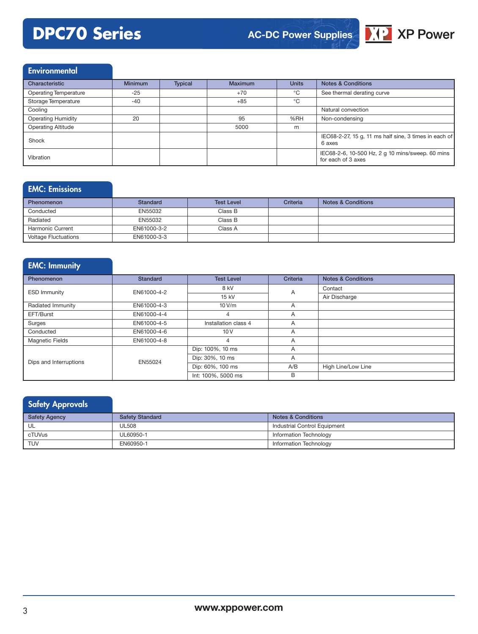# **DPC70 Series**



## Environmental

| Characteristic               | <b>Minimum</b> | <b>Typical</b> | <b>Maximum</b> | <b>Units</b> | <b>Notes &amp; Conditions</b>                                          |
|------------------------------|----------------|----------------|----------------|--------------|------------------------------------------------------------------------|
| <b>Operating Temperature</b> | -25            |                | $+70$          | °C           | See thermal derating curve                                             |
| Storage Temperature          | $-40$          |                | $+85$          | $^{\circ}$ C |                                                                        |
| Cooling                      |                |                |                |              | Natural convection                                                     |
| <b>Operating Humidity</b>    | 20             |                | 95             | %RH          | Non-condensing                                                         |
| <b>Operating Altitude</b>    |                |                | 5000           | m            |                                                                        |
| Shock                        |                |                |                |              | IEC68-2-27, 15 g, 11 ms half sine, 3 times in each of<br>6 axes        |
| Vibration                    |                |                |                |              | IEC68-2-6, 10-500 Hz, 2 g 10 mins/sweep. 60 mins<br>for each of 3 axes |

### EMC: Emissions

| Phenomenon                  | Standard    | <b>Test Level</b> | <b>Criteria</b> | <b>Notes &amp; Conditions</b> |
|-----------------------------|-------------|-------------------|-----------------|-------------------------------|
| Conducted                   | EN55032     | Class B           |                 |                               |
| Radiated                    | EN55032     | Class B           |                 |                               |
| <b>Harmonic Current</b>     | EN61000-3-2 | Class A           |                 |                               |
| <b>Voltage Fluctuations</b> | EN61000-3-3 |                   |                 |                               |

# EMC: Immunity

| Phenomenon             | <b>Standard</b> | <b>Test Level</b>    | Criteria | <b>Notes &amp; Conditions</b> |
|------------------------|-----------------|----------------------|----------|-------------------------------|
| <b>ESD Immunity</b>    | EN61000-4-2     | 8 kV                 | A        | Contact                       |
|                        |                 | 15 kV                |          | Air Discharge                 |
| Radiated Immunity      | EN61000-4-3     | 10V/m                | A        |                               |
| EFT/Burst              | EN61000-4-4     | 4                    | A        |                               |
| Surges                 | EN61000-4-5     | Installation class 4 | A        |                               |
| Conducted              | EN61000-4-6     | 10V                  | A        |                               |
| <b>Magnetic Fields</b> | EN61000-4-8     | 4                    | A        |                               |
|                        |                 | Dip: 100%, 10 ms     | A        |                               |
| Dips and Interruptions | EN55024         | Dip: 30%, 10 ms      | A        |                               |
|                        |                 | Dip: 60%, 100 ms     | A/B      | High Line/Low Line            |
|                        |                 | Int: 100%, 5000 ms   | B        |                               |

## **Safety Approvals**

| <b>Safety Agency</b> | <b>Safety Standard</b> | Notes & Conditions           |
|----------------------|------------------------|------------------------------|
| UL                   | <b>UL508</b>           | Industrial Control Equipment |
| cTUVus               | UL60950-1              | Information Technology       |
| <b>TUV</b>           | EN60950-1              | Information Technology       |